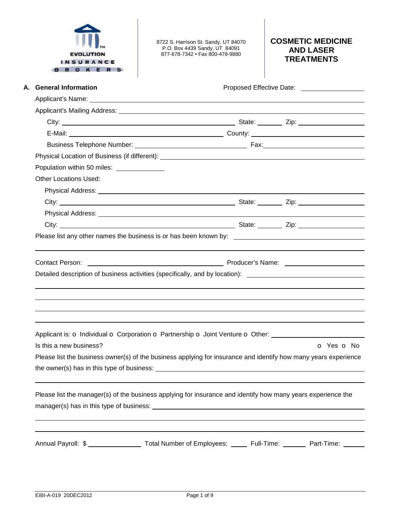| <b>EVOLUTION</b> |
|------------------|
| <b>INSURANCE</b> |
|                  |

8722 S. Harrison St. Sandy, UT 84070 P.O. Box 4439 Sandy, UT 84091 877-678-7342 • Fax 800-478-9880

## **COSMETIC MEDICINE AND LASER TREATMENTS**

| A. General Information                                                                                          |            |
|-----------------------------------------------------------------------------------------------------------------|------------|
|                                                                                                                 |            |
|                                                                                                                 |            |
|                                                                                                                 |            |
|                                                                                                                 |            |
|                                                                                                                 |            |
|                                                                                                                 |            |
| Population within 50 miles: ______________                                                                      |            |
| <b>Other Locations Used:</b>                                                                                    |            |
|                                                                                                                 |            |
|                                                                                                                 |            |
|                                                                                                                 |            |
|                                                                                                                 |            |
| Please list any other names the business is or has been known by: __________________________________            |            |
|                                                                                                                 |            |
|                                                                                                                 |            |
|                                                                                                                 |            |
| <b>Contact Person:</b>                                                                                          |            |
| Detailed description of business activities (specifically, and by location): _________________________________  |            |
|                                                                                                                 |            |
|                                                                                                                 |            |
|                                                                                                                 |            |
|                                                                                                                 |            |
|                                                                                                                 |            |
| Applicant is: o Individual o Corporation o Partnership o Joint Venture o Other:<br>Is this a new business?      | o Yes o No |
| Please list the business owner(s) of the business applying for insurance and identify how many years experience |            |
|                                                                                                                 |            |
| the owner(s) has in this type of business:                                                                      |            |
|                                                                                                                 |            |
| Please list the manager(s) of the business applying for insurance and identify how many years experience the    |            |
|                                                                                                                 |            |
|                                                                                                                 |            |
|                                                                                                                 |            |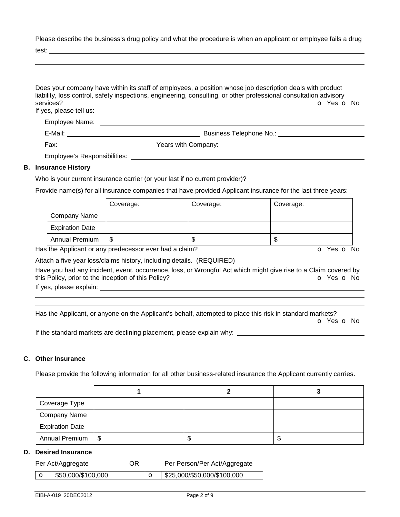Please describe the business's drug policy and what the procedure is when an applicant or employee fails a drug

test:

| services?<br>If yes, please tell us: | Does your company have within its staff of employees, a position whose job description deals with product<br>liability, loss control, safety inspections, engineering, consulting, or other professional consultation advisory<br>O Yes O No |
|--------------------------------------|----------------------------------------------------------------------------------------------------------------------------------------------------------------------------------------------------------------------------------------------|
| Employee Name: __________            |                                                                                                                                                                                                                                              |
|                                      | Business Telephone No.: <b>Example 20</b>                                                                                                                                                                                                    |
|                                      |                                                                                                                                                                                                                                              |
|                                      | Employee's Responsibilities: Next and the state of the state of the state of the state of the state of the state of the state of the state of the state of the state of the state of the state of the state of the state of th               |
| <b>B.</b> Insurance History          |                                                                                                                                                                                                                                              |
|                                      | Who is your ourrant insurance corrier (or your loot if no ourrant provider)?                                                                                                                                                                 |

## Who is your current insurance carrier (or your last if no current provider)?  $\_\_$

Provide name(s) for all insurance companies that have provided Applicant insurance for the last three years:

|                        | Coverage: | Coverage: | Coverage: |
|------------------------|-----------|-----------|-----------|
| Company Name           |           |           |           |
| <b>Expiration Date</b> |           |           |           |
| <b>Annual Premium</b>  | \$        | ۰D        | ۰D        |

Has the Applicant or any predecessor ever had a claim? The Contract of Monocomusic Contract of No. The Contract O

Attach a five year loss/claims history, including details. (REQUIRED)

Have you had any incident, event, occurrence, loss, or Wrongful Act which might give rise to a Claim covered by this Policy, prior to the inception of this Policy? **o Yes o No** Yes **o** No

If yes, please explain:

 

Has the Applicant, or anyone on the Applicant's behalf, attempted to place this risk in standard markets?

o Yes o No

If the standard markets are declining placement, please explain why:

#### **C. Other Insurance**

Please provide the following information for all other business-related insurance the Applicant currently carries.

| Coverage Type          |      |    |
|------------------------|------|----|
| <b>Company Name</b>    |      |    |
| <b>Expiration Date</b> |      |    |
| Annual Premium   \$    | - 11 | ۰D |

#### **D. Desired Insurance**

|         | Per Act/Aggregate  | OR | Per Person/Per Act/Aggregate |
|---------|--------------------|----|------------------------------|
| $\circ$ | \$50,000/\$100,000 |    | \$25,000/\$50,000/\$100,000  |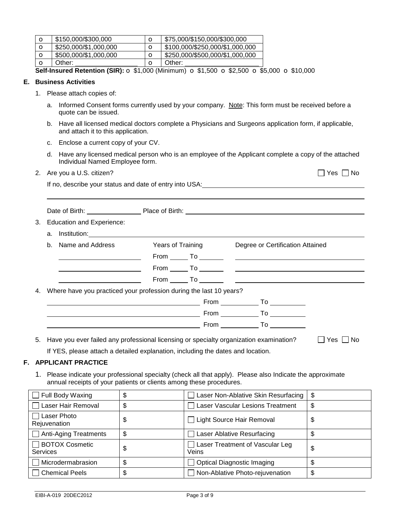| O | \$150,000/\$300,000   |   | \$75,000/\$150,000/\$300,000    |
|---|-----------------------|---|---------------------------------|
| O | \$250,000/\$1,000,000 |   | \$100,000/\$250,000/\$1,000,000 |
| O | \$500,000/\$1,000,000 | Ω | \$250,000/\$500,000/\$1,000,000 |
| О | Other:                | O | Other:                          |

**Self-Insured Retention (SIR):** o \$1,000 (Minimum) o \$1,500 o \$2,500 o \$5,000 o \$10,000

#### **E. Business Activities**

- 1. Please attach copies of:
	- a. Informed Consent forms currently used by your company. Note: This form must be received before a quote can be issued.
	- b. Have all licensed medical doctors complete a Physicians and Surgeons application form, if applicable, and attach it to this application.
	- c. Enclose a current copy of your CV.
	- d. Have any licensed medical person who is an employee of the Applicant complete a copy of the attached Individual Named Employee form.
- 2. Are you a U.S. citizen?  $\Box$  Yes  $\Box$  No

| If no, describe your status and date of entry into USA: |
|---------------------------------------------------------|
|---------------------------------------------------------|

| 3. Education and Experience:                                                                                                                                                                                                   |  |                      |
|--------------------------------------------------------------------------------------------------------------------------------------------------------------------------------------------------------------------------------|--|----------------------|
| a. Institution: 1000 million and the control of the control of the control of the control of the control of the control of the control of the control of the control of the control of the control of the control of the contr |  |                      |
| b. Name and Address <b>State Years of Training Convertery Degree or Certification Attained</b>                                                                                                                                 |  |                      |
|                                                                                                                                                                                                                                |  |                      |
|                                                                                                                                                                                                                                |  |                      |
|                                                                                                                                                                                                                                |  |                      |
| 4. Where have you practiced your profession during the last 10 years?                                                                                                                                                          |  |                      |
|                                                                                                                                                                                                                                |  |                      |
|                                                                                                                                                                                                                                |  |                      |
|                                                                                                                                                                                                                                |  |                      |
| 5. Have you ever failed any professional licensing or specialty organization examination?                                                                                                                                      |  | $\Box$ Yes $\Box$ No |

If YES, please attach a detailed explanation, including the dates and location.

#### **F. APPLICANT PRACTICE**

1. Please indicate your professional specialty (check all that apply). Please also Indicate the approximate annual receipts of your patients or clients among these procedures.

| $\Box$ Full Body Waxing                  | \$ | Laser Non-Ablative Skin Resurfacing      | - \$ |
|------------------------------------------|----|------------------------------------------|------|
| $\Box$ Laser Hair Removal                | \$ | Laser Vascular Lesions Treatment         | \$   |
| Laser Photo<br>Rejuvenation              | S  | Light Source Hair Removal                | \$   |
| Anti-Aging Treatments                    | \$ | Laser Ablative Resurfacing               |      |
| $\Box$ BOTOX Cosmetic<br><b>Services</b> | \$ | Laser Treatment of Vascular Leg<br>Veins | \$   |
| Microdermabrasion                        | \$ | <b>Optical Diagnostic Imaging</b>        |      |
| Chemical Peels                           | \$ | Non-Ablative Photo-rejuvenation          | \$   |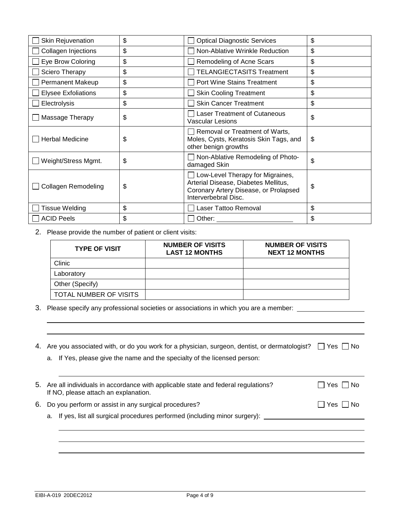| Skin Rejuvenation          | \$<br><b>Optical Diagnostic Services</b>                                                                                                        | \$ |
|----------------------------|-------------------------------------------------------------------------------------------------------------------------------------------------|----|
| Collagen Injections        | \$<br>Non-Ablative Wrinkle Reduction                                                                                                            | \$ |
| Eye Brow Coloring          | \$<br>Remodeling of Acne Scars                                                                                                                  | \$ |
| Sciero Therapy             | \$<br><b>TELANGIECTASITS Treatment</b>                                                                                                          | \$ |
| <b>Permanent Makeup</b>    | \$<br><b>Port Wine Stains Treatment</b>                                                                                                         | \$ |
| <b>Elysee Exfoliations</b> | \$<br><b>Skin Cooling Treatment</b>                                                                                                             | \$ |
| Electrolysis               | \$<br><b>Skin Cancer Treatment</b>                                                                                                              | \$ |
| Massage Therapy            | \$<br><b>Laser Treatment of Cutaneous</b><br><b>Vascular Lesions</b>                                                                            | \$ |
| <b>Herbal Medicine</b>     | \$<br>Removal or Treatment of Warts,<br>Moles, Cysts, Keratosis Skin Tags, and<br>other benign growths                                          | \$ |
| Weight/Stress Mgmt.        | \$<br>Non-Ablative Remodeling of Photo-<br>damaged Skin                                                                                         | \$ |
| <b>Collagen Remodeling</b> | \$<br>Low-Level Therapy for Migraines,<br>Arterial Disease, Diabetes Mellitus,<br>Coronary Artery Disease, or Prolapsed<br>Interverbebral Disc. | \$ |
| <b>Tissue Welding</b>      | \$<br>Laser Tattoo Removal                                                                                                                      | \$ |
| <b>ACID Peels</b>          | \$<br>Other:                                                                                                                                    | \$ |

2. Please provide the number of patient or client visits:

| <b>TYPE OF VISIT</b>   | <b>NUMBER OF VISITS</b><br><b>LAST 12 MONTHS</b> | <b>NUMBER OF VISITS</b><br><b>NEXT 12 MONTHS</b> |
|------------------------|--------------------------------------------------|--------------------------------------------------|
| Clinic                 |                                                  |                                                  |
| Laboratory             |                                                  |                                                  |
| Other (Specify)        |                                                  |                                                  |
| TOTAL NUMBER OF VISITS |                                                  |                                                  |

3. Please specify any professional societies or associations in which you are a member: \_\_\_\_\_\_\_\_\_\_

|  | 4. Are you associated with, or do you work for a physician, surgeon, dentist, or dermatologist? $\Box$ Yes $\Box$ No |  |
|--|----------------------------------------------------------------------------------------------------------------------|--|
|  |                                                                                                                      |  |

a. If Yes, please give the name and the specialty of the licensed person:

| 5. Are all individuals in accordance with applicable state and federal regulations?<br>If NO, please attach an explanation. | $\Box$ Yes $\Box$ No |
|-----------------------------------------------------------------------------------------------------------------------------|----------------------|
| 6. Do you perform or assist in any surgical procedures?                                                                     | $\Box$ Yes $\Box$ No |

a. If yes, list all surgical procedures performed (including minor surgery): \_\_\_\_\_\_\_\_\_\_\_\_\_\_\_\_\_\_\_\_\_\_\_\_\_\_\_\_\_\_\_\_\_

 

 $\overline{a}$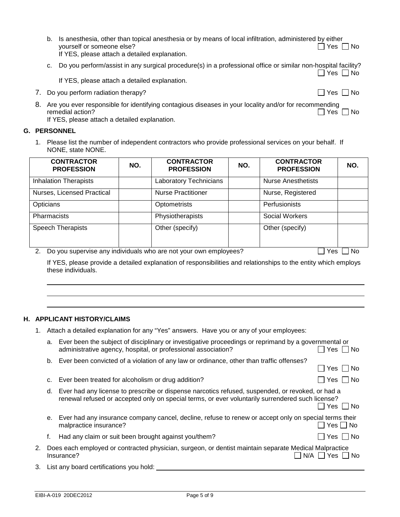| b. Is anesthesia, other than topical anesthesia or by means of local infiltration, administered by either |                      |
|-----------------------------------------------------------------------------------------------------------|----------------------|
| vourself or someone else?                                                                                 | $\Box$ Yes $\Box$ No |
| If YES, please attach a detailed explanation.                                                             |                      |

c. Do you perform/assist in any surgical procedure(s) in a professional office or similar non-hospital facility?

 $\Box$  Yes  $\Box$  No

If YES, please attach a detailed explanation.

7. Do you perform radiation therapy?  $\Box$  Yes  $\Box$  No

8. Are you ever responsible for identifying contagious diseases in your locality and/or for recommending remedial action? remedial action? If YES, please attach a detailed explanation.

**G. PERSONNEL** 

 $\overline{a}$  

1. Please list the number of independent contractors who provide professional services on your behalf. If NONE, state NONE.

| <b>CONTRACTOR</b><br><b>PROFESSION</b> | NO. | <b>CONTRACTOR</b><br><b>PROFESSION</b> | NO. | <b>CONTRACTOR</b><br><b>PROFESSION</b> | NO. |
|----------------------------------------|-----|----------------------------------------|-----|----------------------------------------|-----|
| <b>Inhalation Therapists</b>           |     | <b>Laboratory Technicians</b>          |     | <b>Nurse Anesthetists</b>              |     |
| Nurses, Licensed Practical             |     | <b>Nurse Practitioner</b>              |     | Nurse, Registered                      |     |
| Opticians                              |     | Optometrists                           |     | Perfusionists                          |     |
| <b>Pharmacists</b>                     |     | Physiotherapists                       |     | Social Workers                         |     |
| <b>Speech Therapists</b>               |     | Other (specify)                        |     | Other (specify)                        |     |

2. Do you supervise any individuals who are not your own employees?  $\Box$  Yes  $\Box$  Yes  $\Box$  No

If YES, please provide a detailed explanation of responsibilities and relationships to the entity which employs these individuals.

#### **H. APPLICANT HISTORY/CLAIMS**

1. Attach a detailed explanation for any "Yes" answers. Have you or any of your employees:

|    |    | a. Ever been the subject of disciplinary or investigative proceedings or reprimand by a governmental or<br>administrative agency, hospital, or professional association?                             | ̄ Yes □ No           |
|----|----|------------------------------------------------------------------------------------------------------------------------------------------------------------------------------------------------------|----------------------|
|    | b. | Ever been convicted of a violation of any law or ordinance, other than traffic offenses?                                                                                                             | Yes  No              |
|    | C. | Ever been treated for alcoholism or drug addition?                                                                                                                                                   | $\Box$ Yes $\Box$ No |
|    | d. | Ever had any license to prescribe or dispense narcotics refused, suspended, or revoked, or had a<br>renewal refused or accepted only on special terms, or ever voluntarily surrendered such license? | Yes     No           |
|    | е. | Ever had any insurance company cancel, decline, refuse to renew or accept only on special terms their<br>malpractice insurance?                                                                      | 7 Yes ∏ No           |
|    |    | Had any claim or suit been brought against you/them?                                                                                                                                                 | Yes $\Box$ No        |
| 2. |    | Does each employed or contracted physician, surgeon, or dentist maintain separate Medical Malpractice<br>N/A<br>Insurance?                                                                           | Yes  <br>No.         |

3. List any board certifications you hold: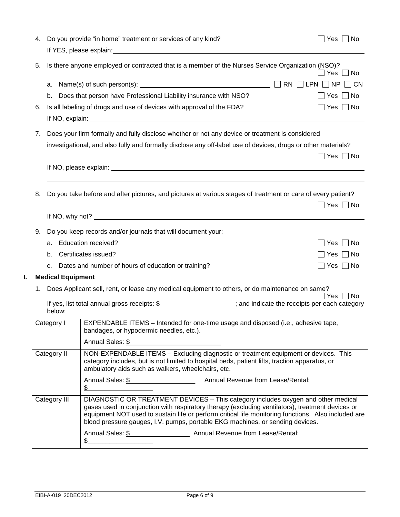|               | 4.          |                          | Do you provide "in home" treatment or services of any kind?                                                                                                                                                                                                                                                                                                                   | $\Box$ Yes $\Box$ No |
|---------------|-------------|--------------------------|-------------------------------------------------------------------------------------------------------------------------------------------------------------------------------------------------------------------------------------------------------------------------------------------------------------------------------------------------------------------------------|----------------------|
|               | 5.          |                          | Is there anyone employed or contracted that is a member of the Nurses Service Organization (NSO)?                                                                                                                                                                                                                                                                             | Yes ∐ No             |
|               |             |                          |                                                                                                                                                                                                                                                                                                                                                                               |                      |
|               |             | b.                       | Does that person have Professional Liability insurance with NSO?                                                                                                                                                                                                                                                                                                              | $\Box$ Yes $\Box$ No |
|               | 6.          |                          | Is all labeling of drugs and use of devices with approval of the FDA?                                                                                                                                                                                                                                                                                                         | $\Box$ Yes $\Box$ No |
|               |             |                          |                                                                                                                                                                                                                                                                                                                                                                               |                      |
|               | 7.          |                          | Does your firm formally and fully disclose whether or not any device or treatment is considered                                                                                                                                                                                                                                                                               |                      |
|               |             |                          | investigational, and also fully and formally disclose any off-label use of devices, drugs or other materials?                                                                                                                                                                                                                                                                 | $\Box$ Yes $\Box$ No |
|               |             |                          | If NO, please explain: <u>example and the set of the set of the set of the set of the set of the set of the set of the set of the set of the set of the set of the set of the set of the set of the set of the set of the set of</u>                                                                                                                                          |                      |
|               |             |                          |                                                                                                                                                                                                                                                                                                                                                                               |                      |
|               | 8.          |                          | Do you take before and after pictures, and pictures at various stages of treatment or care of every patient?                                                                                                                                                                                                                                                                  |                      |
|               |             |                          |                                                                                                                                                                                                                                                                                                                                                                               | $\Box$ Yes $\Box$ No |
|               |             |                          |                                                                                                                                                                                                                                                                                                                                                                               |                      |
|               | 9.          |                          | Do you keep records and/or journals that will document your:                                                                                                                                                                                                                                                                                                                  |                      |
|               |             | a.                       | <b>Education received?</b>                                                                                                                                                                                                                                                                                                                                                    | Yes $\Box$ No        |
|               |             |                          | b. Certificates issued?                                                                                                                                                                                                                                                                                                                                                       | Yes $\Box$ No        |
|               |             | C.                       | Dates and number of hours of education or training?                                                                                                                                                                                                                                                                                                                           | Yes $\Box$ No        |
| I.            |             | <b>Medical Equipment</b> |                                                                                                                                                                                                                                                                                                                                                                               |                      |
|               | 1.          |                          | Does Applicant sell, rent, or lease any medical equipment to others, or do maintenance on same?                                                                                                                                                                                                                                                                               |                      |
|               |             |                          | If yes, list total annual gross receipts: \$___________________; and indicate the receipts per each category                                                                                                                                                                                                                                                                  | ∩ No<br>Yes          |
|               |             | below:                   |                                                                                                                                                                                                                                                                                                                                                                               |                      |
|               |             | Category I               | EXPENDABLE ITEMS - Intended for one-time usage and disposed (i.e., adhesive tape,<br>bandages, or hypodermic needles, etc.).                                                                                                                                                                                                                                                  |                      |
|               |             |                          | Annual Sales: \$<br><u> 1980 - Jan Barnett, mars eta bat erroman erroman (h. 1980).</u>                                                                                                                                                                                                                                                                                       |                      |
|               | Category II |                          | NON-EXPENDABLE ITEMS - Excluding diagnostic or treatment equipment or devices. This<br>category includes, but is not limited to hospital beds, patient lifts, traction apparatus, or<br>ambulatory aids such as walkers, wheelchairs, etc.                                                                                                                                    |                      |
| $\sim$ $\sim$ |             |                          |                                                                                                                                                                                                                                                                                                                                                                               |                      |
|               |             | Category III             | DIAGNOSTIC OR TREATMENT DEVICES - This category includes oxygen and other medical<br>gases used in conjunction with respiratory therapy (excluding ventilators), treatment devices or<br>equipment NOT used to sustain life or perform critical life monitoring functions. Also included are<br>blood pressure gauges, I.V. pumps, portable EKG machines, or sending devices. |                      |
|               |             |                          |                                                                                                                                                                                                                                                                                                                                                                               |                      |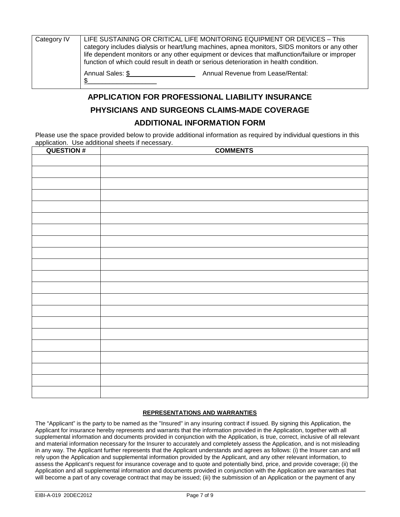| Category IV<br>function of which could result in death or serious deterioration in health condition. |                  | LIFE SUSTAINING OR CRITICAL LIFE MONITORING EQUIPMENT OR DEVICES - This<br>category includes dialysis or heart/lung machines, apnea monitors, SIDS monitors or any other<br>life dependent monitors or any other equipment or devices that malfunction/failure or improper |  |
|------------------------------------------------------------------------------------------------------|------------------|----------------------------------------------------------------------------------------------------------------------------------------------------------------------------------------------------------------------------------------------------------------------------|--|
|                                                                                                      | Annual Sales: \$ | Annual Revenue from Lease/Rental:                                                                                                                                                                                                                                          |  |

# **APPLICATION FOR PROFESSIONAL LIABILITY INSURANCE PHYSICIANS AND SURGEONS CLAIMS-MADE COVERAGE**

### **ADDITIONAL INFORMATION FORM**

Please use the space provided below to provide additional information as required by individual questions in this application. Use additional sheets if necessary.

| <b>QUESTION#</b> | <b>COMMENTS</b> |
|------------------|-----------------|
|                  |                 |
|                  |                 |
|                  |                 |
|                  |                 |
|                  |                 |
|                  |                 |
|                  |                 |
|                  |                 |
|                  |                 |
|                  |                 |
|                  |                 |
|                  |                 |
|                  |                 |
|                  |                 |
|                  |                 |
|                  |                 |
|                  |                 |
|                  |                 |
|                  |                 |
|                  |                 |
|                  |                 |

#### **REPRESENTATIONS AND WARRANTIES**

The "Applicant" is the party to be named as the "Insured" in any insuring contract if issued. By signing this Application, the Applicant for insurance hereby represents and warrants that the information provided in the Application, together with all supplemental information and documents provided in conjunction with the Application, is true, correct, inclusive of all relevant and material information necessary for the Insurer to accurately and completely assess the Application, and is not misleading in any way. The Applicant further represents that the Applicant understands and agrees as follows: (i) the Insurer can and will rely upon the Application and supplemental information provided by the Applicant, and any other relevant information, to assess the Applicant's request for insurance coverage and to quote and potentially bind, price, and provide coverage; (ii) the Application and all supplemental information and documents provided in conjunction with the Application are warranties that will become a part of any coverage contract that may be issued; (iii) the submission of an Application or the payment of any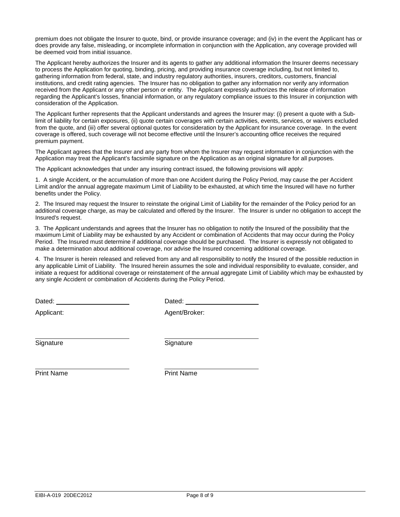premium does not obligate the Insurer to quote, bind, or provide insurance coverage; and (iv) in the event the Applicant has or does provide any false, misleading, or incomplete information in conjunction with the Application, any coverage provided will be deemed void from initial issuance.

The Applicant hereby authorizes the Insurer and its agents to gather any additional information the Insurer deems necessary to process the Application for quoting, binding, pricing, and providing insurance coverage including, but not limited to, gathering information from federal, state, and industry regulatory authorities, insurers, creditors, customers, financial institutions, and credit rating agencies. The Insurer has no obligation to gather any information nor verify any information received from the Applicant or any other person or entity. The Applicant expressly authorizes the release of information regarding the Applicant's losses, financial information, or any regulatory compliance issues to this Insurer in conjunction with consideration of the Application.

The Applicant further represents that the Applicant understands and agrees the Insurer may: (i) present a quote with a Sublimit of liability for certain exposures, (ii) quote certain coverages with certain activities, events, services, or waivers excluded from the quote, and (iii) offer several optional quotes for consideration by the Applicant for insurance coverage. In the event coverage is offered, such coverage will not become effective until the Insurer's accounting office receives the required premium payment.

The Applicant agrees that the Insurer and any party from whom the Insurer may request information in conjunction with the Application may treat the Applicant's facsimile signature on the Application as an original signature for all purposes.

The Applicant acknowledges that under any insuring contract issued, the following provisions will apply:

1. A single Accident, or the accumulation of more than one Accident during the Policy Period, may cause the per Accident Limit and/or the annual aggregate maximum Limit of Liability to be exhausted, at which time the Insured will have no further benefits under the Policy.

2. The Insured may request the Insurer to reinstate the original Limit of Liability for the remainder of the Policy period for an additional coverage charge, as may be calculated and offered by the Insurer. The Insurer is under no obligation to accept the Insured's request.

3. The Applicant understands and agrees that the Insurer has no obligation to notify the Insured of the possibility that the maximum Limit of Liability may be exhausted by any Accident or combination of Accidents that may occur during the Policy Period. The Insured must determine if additional coverage should be purchased. The Insurer is expressly not obligated to make a determination about additional coverage, nor advise the Insured concerning additional coverage.

4. The Insurer is herein released and relieved from any and all responsibility to notify the Insured of the possible reduction in any applicable Limit of Liability. The Insured herein assumes the sole and individual responsibility to evaluate, consider, and initiate a request for additional coverage or reinstatement of the annual aggregate Limit of Liability which may be exhausted by any single Accident or combination of Accidents during the Policy Period.

Dated: **Dated: Dated: Dated: Dated:** 

Applicant: Agent/Broker:

Signature Signature Signature

Print Name **Print Name**